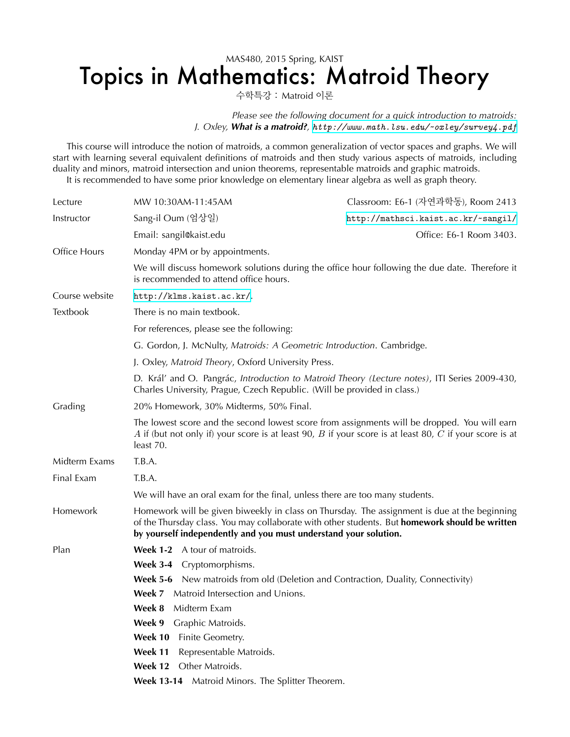## MAS480, 2015 Spring, KAIST Topics in Mathematics: Matroid Theory

수학특강 : Matroid 이론

Please see the following document for a quick introduction to matroids: *J. Oxley, What is a matroid?, <http://www.math.lsu.edu/~oxley/survey4.pdf>*

This course will introduce the notion of matroids, a common generalization of vector spaces and graphs. We will start with learning several equivalent definitions of matroids and then study various aspects of matroids, including duality and minors, matroid intersection and union theorems, representable matroids and graphic matroids. It is recommended to have some prior knowledge on elementary linear algebra as well as graph theory.

| Lecture        | MW 10:30AM-11:45AM                                                                                                                                                                                                                                                 | Classroom: E6-1 (자연과학동), Room 2413  |
|----------------|--------------------------------------------------------------------------------------------------------------------------------------------------------------------------------------------------------------------------------------------------------------------|-------------------------------------|
| Instructor     | Sang-il Oum (엄상일)                                                                                                                                                                                                                                                  | http://mathsci.kaist.ac.kr/~sangil/ |
|                | Email: sangil@kaist.edu                                                                                                                                                                                                                                            | Office: E6-1 Room 3403.             |
| Office Hours   | Monday 4PM or by appointments.                                                                                                                                                                                                                                     |                                     |
|                | We will discuss homework solutions during the office hour following the due date. Therefore it<br>is recommended to attend office hours.                                                                                                                           |                                     |
| Course website | http://klms.kaist.ac.kr/.                                                                                                                                                                                                                                          |                                     |
| Textbook       | There is no main textbook.                                                                                                                                                                                                                                         |                                     |
|                | For references, please see the following:                                                                                                                                                                                                                          |                                     |
|                | G. Gordon, J. McNulty, Matroids: A Geometric Introduction. Cambridge.                                                                                                                                                                                              |                                     |
|                | J. Oxley, Matroid Theory, Oxford University Press.                                                                                                                                                                                                                 |                                     |
|                | D. Král' and O. Pangrác, Introduction to Matroid Theory (Lecture notes), ITI Series 2009-430,<br>Charles University, Prague, Czech Republic. (Will be provided in class.)                                                                                          |                                     |
| Grading        | 20% Homework, 30% Midterms, 50% Final.                                                                                                                                                                                                                             |                                     |
|                | The lowest score and the second lowest score from assignments will be dropped. You will earn<br>A if (but not only if) your score is at least 90, $B$ if your score is at least 80, $C$ if your score is at<br>least 70.                                           |                                     |
| Midterm Exams  | T.B.A.                                                                                                                                                                                                                                                             |                                     |
| Final Exam     | T.B.A.                                                                                                                                                                                                                                                             |                                     |
|                | We will have an oral exam for the final, unless there are too many students.                                                                                                                                                                                       |                                     |
| Homework       | Homework will be given biweekly in class on Thursday. The assignment is due at the beginning<br>of the Thursday class. You may collaborate with other students. But homework should be written<br>by yourself independently and you must understand your solution. |                                     |
| Plan           | <b>Week 1-2</b> A tour of matroids.                                                                                                                                                                                                                                |                                     |
|                | Week 3-4 Cryptomorphisms.                                                                                                                                                                                                                                          |                                     |
|                | <b>Week 5-6</b> New matroids from old (Deletion and Contraction, Duality, Connectivity)                                                                                                                                                                            |                                     |
|                | Week 7 Matroid Intersection and Unions.                                                                                                                                                                                                                            |                                     |
|                | Week 8<br>Midterm Exam                                                                                                                                                                                                                                             |                                     |
|                | Week 9<br>Graphic Matroids.                                                                                                                                                                                                                                        |                                     |
|                | Week 10<br>Finite Geometry.<br>Week 11<br>Representable Matroids.                                                                                                                                                                                                  |                                     |
|                | Other Matroids.<br>Week 12                                                                                                                                                                                                                                         |                                     |
|                | Matroid Minors. The Splitter Theorem.<br><b>Week 13-14</b>                                                                                                                                                                                                         |                                     |
|                |                                                                                                                                                                                                                                                                    |                                     |